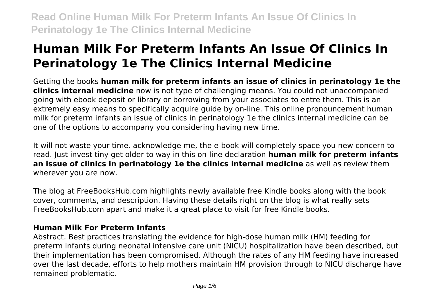# **Human Milk For Preterm Infants An Issue Of Clinics In Perinatology 1e The Clinics Internal Medicine**

Getting the books **human milk for preterm infants an issue of clinics in perinatology 1e the clinics internal medicine** now is not type of challenging means. You could not unaccompanied going with ebook deposit or library or borrowing from your associates to entre them. This is an extremely easy means to specifically acquire guide by on-line. This online pronouncement human milk for preterm infants an issue of clinics in perinatology 1e the clinics internal medicine can be one of the options to accompany you considering having new time.

It will not waste your time. acknowledge me, the e-book will completely space you new concern to read. Just invest tiny get older to way in this on-line declaration **human milk for preterm infants an issue of clinics in perinatology 1e the clinics internal medicine** as well as review them wherever you are now.

The blog at FreeBooksHub.com highlights newly available free Kindle books along with the book cover, comments, and description. Having these details right on the blog is what really sets FreeBooksHub.com apart and make it a great place to visit for free Kindle books.

# **Human Milk For Preterm Infants**

Abstract. Best practices translating the evidence for high-dose human milk (HM) feeding for preterm infants during neonatal intensive care unit (NICU) hospitalization have been described, but their implementation has been compromised. Although the rates of any HM feeding have increased over the last decade, efforts to help mothers maintain HM provision through to NICU discharge have remained problematic.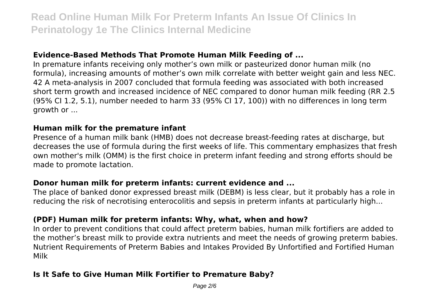### **Evidence-Based Methods That Promote Human Milk Feeding of ...**

In premature infants receiving only mother's own milk or pasteurized donor human milk (no formula), increasing amounts of mother's own milk correlate with better weight gain and less NEC. 42 A meta-analysis in 2007 concluded that formula feeding was associated with both increased short term growth and increased incidence of NEC compared to donor human milk feeding (RR 2.5 (95% CI 1.2, 5.1), number needed to harm 33 (95% CI 17, 100)) with no differences in long term growth or ...

#### **Human milk for the premature infant**

Presence of a human milk bank (HMB) does not decrease breast-feeding rates at discharge, but decreases the use of formula during the first weeks of life. This commentary emphasizes that fresh own mother's milk (OMM) is the first choice in preterm infant feeding and strong efforts should be made to promote lactation.

### **Donor human milk for preterm infants: current evidence and ...**

The place of banked donor expressed breast milk (DEBM) is less clear, but it probably has a role in reducing the risk of necrotising enterocolitis and sepsis in preterm infants at particularly high...

# **(PDF) Human milk for preterm infants: Why, what, when and how?**

In order to prevent conditions that could affect preterm babies, human milk fortifiers are added to the mother's breast milk to provide extra nutrients and meet the needs of growing preterm babies. Nutrient Requirements of Preterm Babies and Intakes Provided By Unfortified and Fortified Human Milk

# **Is It Safe to Give Human Milk Fortifier to Premature Baby?**

Page 2/6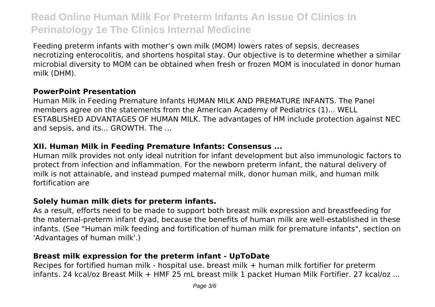Feeding preterm infants with mother's own milk (MOM) lowers rates of sepsis, decreases necrotizing enterocolitis, and shortens hospital stay. Our objective is to determine whether a similar microbial diversity to MOM can be obtained when fresh or frozen MOM is inoculated in donor human milk (DHM).

### **PowerPoint Presentation**

Human Milk in Feeding Premature Infants HUMAN MILK AND PREMATURE INFANTS. The Panel members agree on the statements from the American Academy of Pediatrics (1)... WELL ESTABLISHED ADVANTAGES OF HUMAN MILK. The advantages of HM include protection against NEC and sepsis, and its... GROWTH. The ...

### **XII. Human Milk in Feeding Premature Infants: Consensus ...**

Human milk provides not only ideal nutrition for infant development but also immunologic factors to protect from infection and inflammation. For the newborn preterm infant, the natural delivery of milk is not attainable, and instead pumped maternal milk, donor human milk, and human milk fortification are

### **Solely human milk diets for preterm infants.**

As a result, efforts need to be made to support both breast milk expression and breastfeeding for the maternal-preterm infant dyad, because the benefits of human milk are well-established in these infants. (See "Human milk feeding and fortification of human milk for premature infants", section on 'Advantages of human milk'.)

# **Breast milk expression for the preterm infant - UpToDate**

Recipes for fortified human milk - hospital use. breast milk + human milk fortifier for preterm infants. 24 kcal/oz Breast Milk + HMF 25 mL breast milk 1 packet Human Milk Fortifier. 27 kcal/oz ...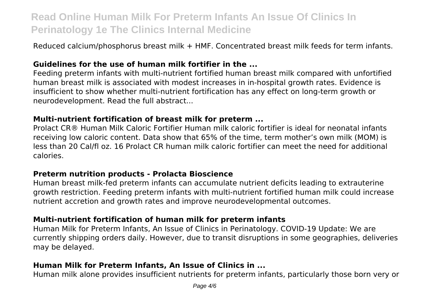Reduced calcium/phosphorus breast milk + HMF. Concentrated breast milk feeds for term infants.

### **Guidelines for the use of human milk fortifier in the ...**

Feeding preterm infants with multi-nutrient fortified human breast milk compared with unfortified human breast milk is associated with modest increases in in-hospital growth rates. Evidence is insufficient to show whether multi-nutrient fortification has any effect on long-term growth or neurodevelopment. Read the full abstract...

#### **Multi-nutrient fortification of breast milk for preterm ...**

Prolact CR® Human Milk Caloric Fortifier Human milk caloric fortifier is ideal for neonatal infants receiving low caloric content. Data show that 65% of the time, term mother's own milk (MOM) is less than 20 Cal/fl oz. 16 Prolact CR human milk caloric fortifier can meet the need for additional calories.

#### **Preterm nutrition products - Prolacta Bioscience**

Human breast milk‐fed preterm infants can accumulate nutrient deficits leading to extrauterine growth restriction. Feeding preterm infants with multi‐nutrient fortified human milk could increase nutrient accretion and growth rates and improve neurodevelopmental outcomes.

#### **Multi‐nutrient fortification of human milk for preterm infants**

Human Milk for Preterm Infants, An Issue of Clinics in Perinatology. COVID-19 Update: We are currently shipping orders daily. However, due to transit disruptions in some geographies, deliveries may be delayed.

### **Human Milk for Preterm Infants, An Issue of Clinics in ...**

Human milk alone provides insufficient nutrients for preterm infants, particularly those born very or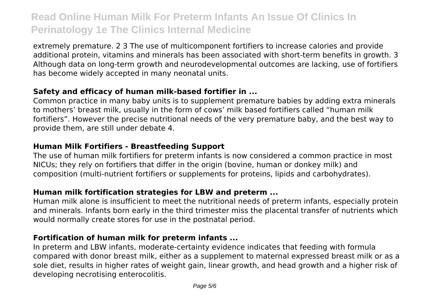extremely premature. 2 3 The use of multicomponent fortifiers to increase calories and provide additional protein, vitamins and minerals has been associated with short-term benefits in growth. 3 Although data on long-term growth and neurodevelopmental outcomes are lacking, use of fortifiers has become widely accepted in many neonatal units.

### **Safety and efficacy of human milk-based fortifier in ...**

Common practice in many baby units is to supplement premature babies by adding extra minerals to mothers' breast milk, usually in the form of cows' milk based fortifiers called "human milk fortifiers". However the precise nutritional needs of the very premature baby, and the best way to provide them, are still under debate 4.

### **Human Milk Fortifiers - Breastfeeding Support**

The use of human milk fortifiers for preterm infants is now considered a common practice in most NICUs; they rely on fortifiers that differ in the origin (bovine, human or donkey milk) and composition (multi-nutrient fortifiers or supplements for proteins, lipids and carbohydrates).

# **Human milk fortification strategies for LBW and preterm ...**

Human milk alone is insufficient to meet the nutritional needs of preterm infants, especially protein and minerals. Infants born early in the third trimester miss the placental transfer of nutrients which would normally create stores for use in the postnatal period.

### **Fortification of human milk for preterm infants ...**

In preterm and LBW infants, moderate-certainty evidence indicates that feeding with formula compared with donor breast milk, either as a supplement to maternal expressed breast milk or as a sole diet, results in higher rates of weight gain, linear growth, and head growth and a higher risk of developing necrotising enterocolitis.